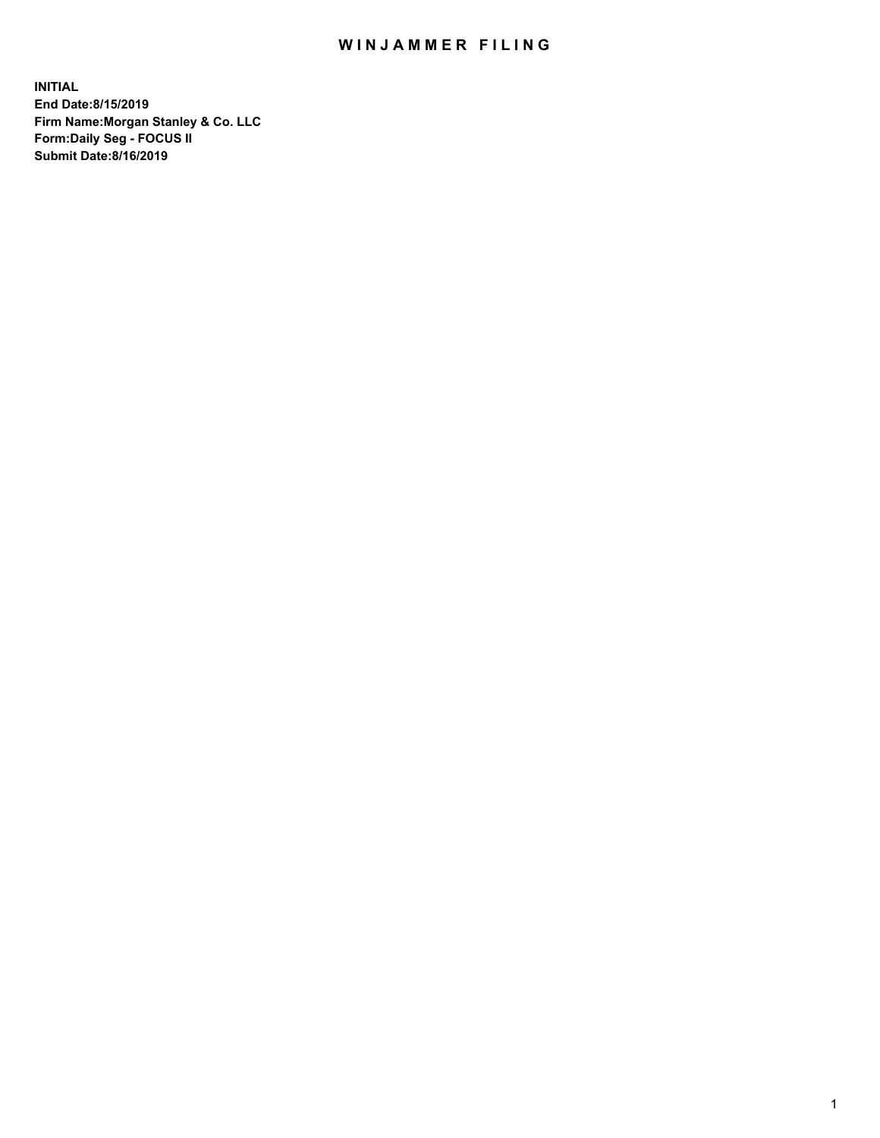## WIN JAMMER FILING

**INITIAL End Date:8/15/2019 Firm Name:Morgan Stanley & Co. LLC Form:Daily Seg - FOCUS II Submit Date:8/16/2019**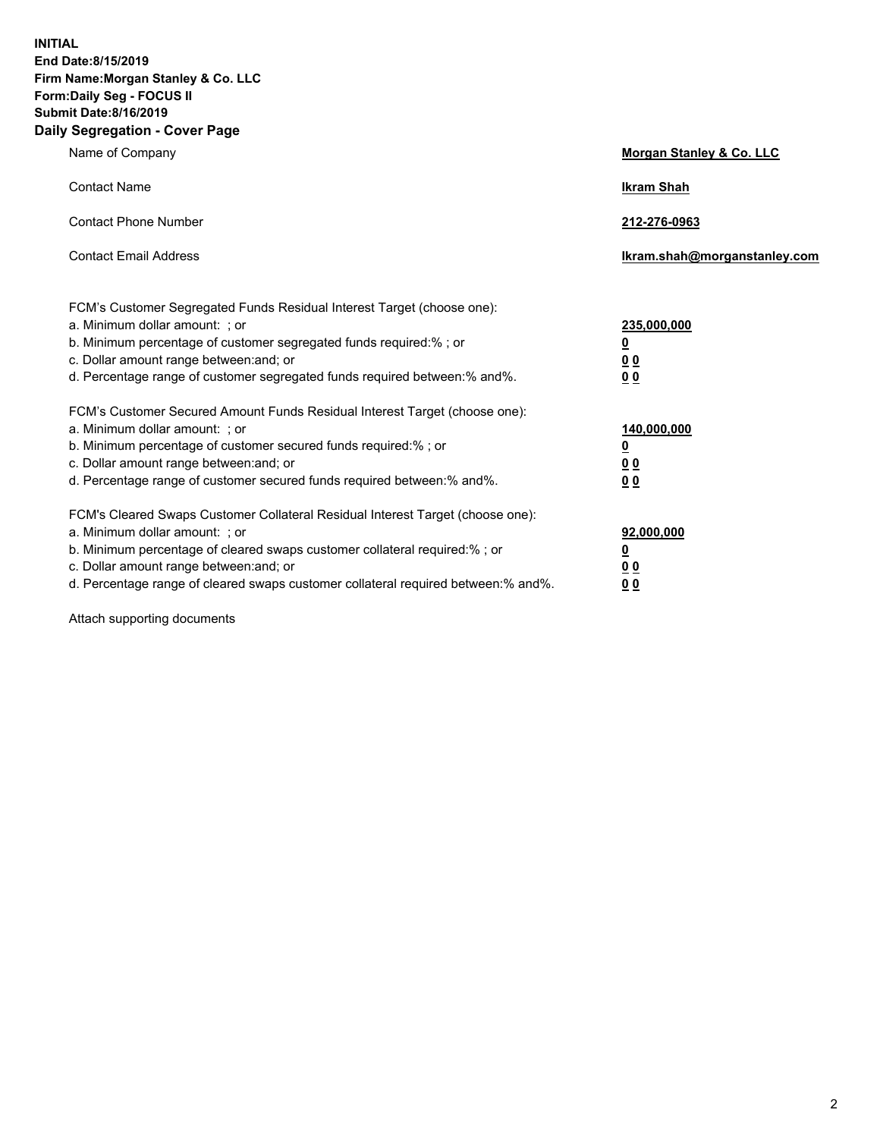**INITIAL End Date:8/15/2019 Firm Name:Morgan Stanley & Co. LLC Form:Daily Seg - FOCUS II Submit Date:8/16/2019 Daily Segregation - Cover Page**

| Name of Company                                                                   | Morgan Stanley & Co. LLC     |
|-----------------------------------------------------------------------------------|------------------------------|
| <b>Contact Name</b>                                                               | <b>Ikram Shah</b>            |
| <b>Contact Phone Number</b>                                                       | 212-276-0963                 |
| <b>Contact Email Address</b>                                                      | Ikram.shah@morganstanley.com |
| FCM's Customer Segregated Funds Residual Interest Target (choose one):            |                              |
| a. Minimum dollar amount: ; or                                                    | 235,000,000                  |
| b. Minimum percentage of customer segregated funds required:% ; or                | <u>0</u>                     |
| c. Dollar amount range between: and; or                                           | <u>0 0</u>                   |
| d. Percentage range of customer segregated funds required between: % and %.       | 00                           |
| FCM's Customer Secured Amount Funds Residual Interest Target (choose one):        |                              |
| a. Minimum dollar amount: ; or                                                    | 140,000,000                  |
| b. Minimum percentage of customer secured funds required:%; or                    | <u>0</u>                     |
| c. Dollar amount range between: and; or                                           | 0 <sub>0</sub>               |
| d. Percentage range of customer secured funds required between:% and%.            | 0 <sub>0</sub>               |
| FCM's Cleared Swaps Customer Collateral Residual Interest Target (choose one):    |                              |
| a. Minimum dollar amount: ; or                                                    | 92,000,000                   |
| b. Minimum percentage of cleared swaps customer collateral required:% ; or        | <u>0</u>                     |
| c. Dollar amount range between: and; or                                           | 0 Q                          |
| d. Percentage range of cleared swaps customer collateral required between:% and%. | 00                           |

Attach supporting documents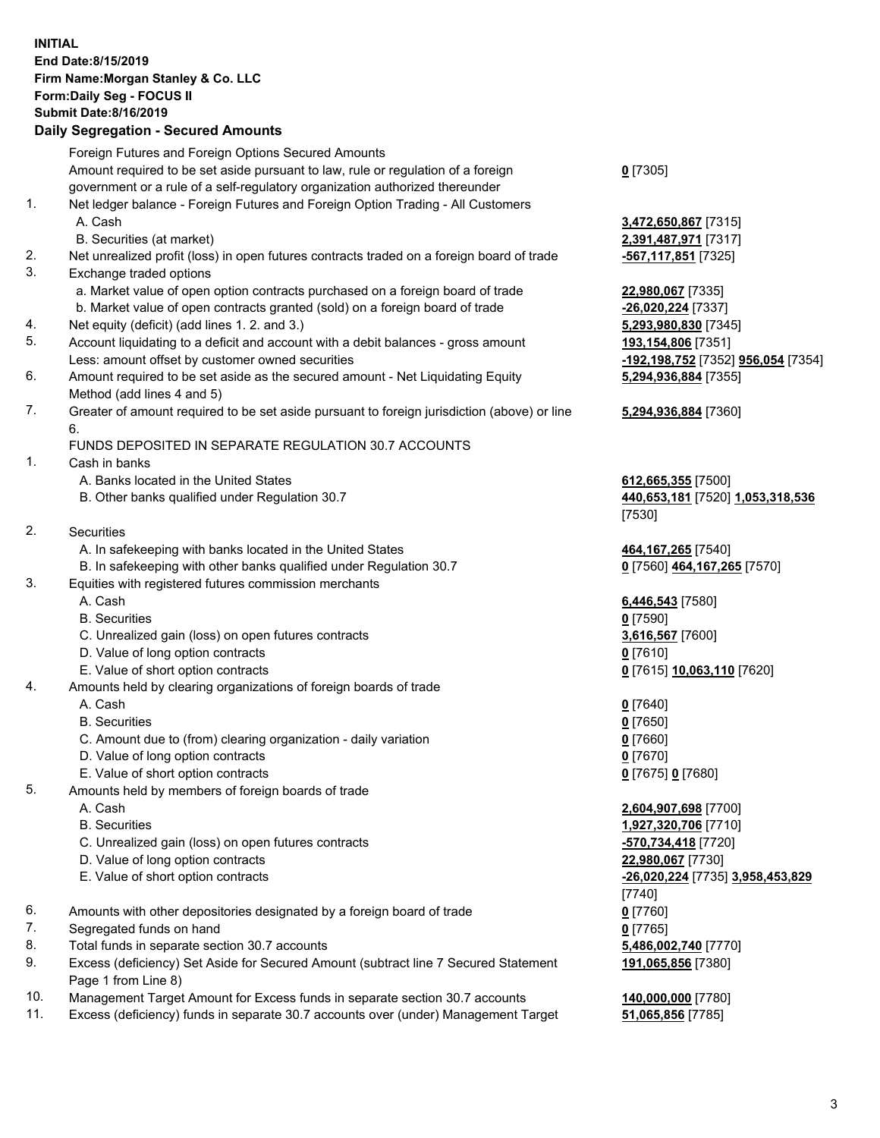## **INITIAL End Date:8/15/2019 Firm Name:Morgan Stanley & Co. LLC Form:Daily Seg - FOCUS II Submit Date:8/16/2019 Daily Segregation - Secured Amounts**

Foreign Futures and Foreign Options Secured Amounts Amount required to be set aside pursuant to law, rule or regulation of a foreign government or a rule of a self-regulatory organization authorized thereunder 1. Net ledger balance - Foreign Futures and Foreign Option Trading - All Customers A. Cash **3,472,650,867** [7315] B. Securities (at market) **2,391,487,971** [7317] 2. Net unrealized profit (loss) in open futures contracts traded on a foreign board of trade **-567,117,851** [7325] 3. Exchange traded options a. Market value of open option contracts purchased on a foreign board of trade **22,980,067** [7335] b. Market value of open contracts granted (sold) on a foreign board of trade **-26,020,224** [7337] 4. Net equity (deficit) (add lines 1. 2. and 3.) **5,293,980,830** [7345] 5. Account liquidating to a deficit and account with a debit balances - gross amount **193,154,806** [7351] Less: amount offset by customer owned securities **-192,198,752** [7352] **956,054** [7354] 6. Amount required to be set aside as the secured amount - Net Liquidating Equity Method (add lines 4 and 5) 7. Greater of amount required to be set aside pursuant to foreign jurisdiction (above) or line 6. FUNDS DEPOSITED IN SEPARATE REGULATION 30.7 ACCOUNTS 1. Cash in banks A. Banks located in the United States **612,665,355** [7500] B. Other banks qualified under Regulation 30.7 **440,653,181** [7520] **1,053,318,536** 2. Securities A. In safekeeping with banks located in the United States **464,167,265** [7540] B. In safekeeping with other banks qualified under Regulation 30.7 **0** [7560] **464,167,265** [7570] 3. Equities with registered futures commission merchants A. Cash **6,446,543** [7580] B. Securities **0** [7590] C. Unrealized gain (loss) on open futures contracts **3,616,567** [7600] D. Value of long option contracts **0** [7610] E. Value of short option contracts **0** [7615] **10,063,110** [7620] 4. Amounts held by clearing organizations of foreign boards of trade A. Cash **0** [7640] B. Securities **0** [7650] C. Amount due to (from) clearing organization - daily variation **0** [7660] D. Value of long option contracts **0** [7670] E. Value of short option contracts **0** [7675] **0** [7680] 5. Amounts held by members of foreign boards of trade A. Cash **2,604,907,698** [7700] B. Securities **1,927,320,706** [7710] C. Unrealized gain (loss) on open futures contracts **-570,734,418** [7720] D. Value of long option contracts **22,980,067** [7730] E. Value of short option contracts **-26,020,224** [7735] **3,958,453,829** 6. Amounts with other depositories designated by a foreign board of trade **0** [7760] 7. Segregated funds on hand **0** [7765] 8. Total funds in separate section 30.7 accounts **5,486,002,740** [7770]

9. Excess (deficiency) Set Aside for Secured Amount (subtract line 7 Secured Statement Page 1 from Line 8)

- 10. Management Target Amount for Excess funds in separate section 30.7 accounts **140,000,000** [7780]
- 11. Excess (deficiency) funds in separate 30.7 accounts over (under) Management Target **51,065,856** [7785]

**0** [7305]

**5,294,936,884** [7355]

## **5,294,936,884** [7360]

[7530]

[7740] **191,065,856** [7380]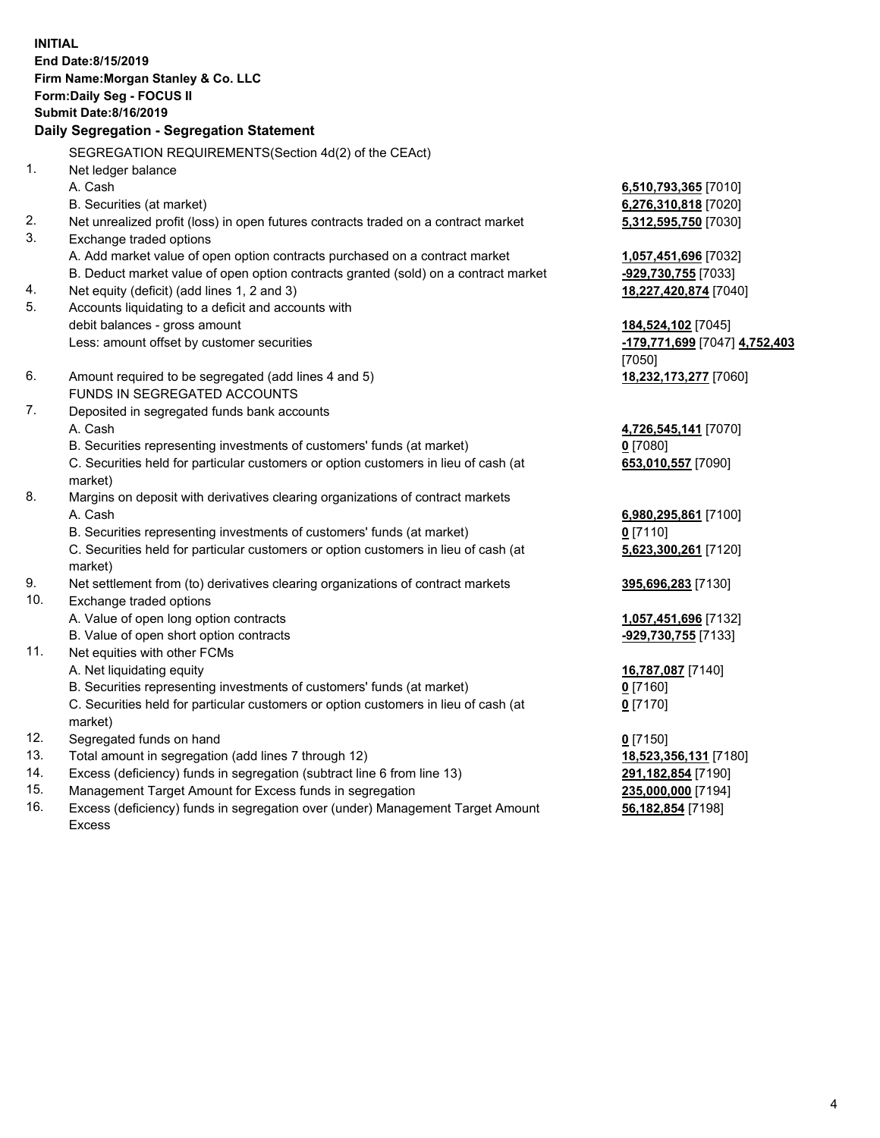**INITIAL End Date:8/15/2019 Firm Name:Morgan Stanley & Co. LLC Form:Daily Seg - FOCUS II Submit Date:8/16/2019 Daily Segregation - Segregation Statement** SEGREGATION REQUIREMENTS(Section 4d(2) of the CEAct) 1. Net ledger balance A. Cash **6,510,793,365** [7010] B. Securities (at market) **6,276,310,818** [7020] 2. Net unrealized profit (loss) in open futures contracts traded on a contract market **5,312,595,750** [7030] 3. Exchange traded options A. Add market value of open option contracts purchased on a contract market **1,057,451,696** [7032] B. Deduct market value of open option contracts granted (sold) on a contract market **-929,730,755** [7033] 4. Net equity (deficit) (add lines 1, 2 and 3) **18,227,420,874** [7040] 5. Accounts liquidating to a deficit and accounts with debit balances - gross amount **184,524,102** [7045] Less: amount offset by customer securities **-179,771,699** [7047] **4,752,403** [7050] 6. Amount required to be segregated (add lines 4 and 5) **18,232,173,277** [7060] FUNDS IN SEGREGATED ACCOUNTS 7. Deposited in segregated funds bank accounts A. Cash **4,726,545,141** [7070] B. Securities representing investments of customers' funds (at market) **0** [7080] C. Securities held for particular customers or option customers in lieu of cash (at market) **653,010,557** [7090] 8. Margins on deposit with derivatives clearing organizations of contract markets A. Cash **6,980,295,861** [7100] B. Securities representing investments of customers' funds (at market) **0** [7110] C. Securities held for particular customers or option customers in lieu of cash (at market) **5,623,300,261** [7120] 9. Net settlement from (to) derivatives clearing organizations of contract markets **395,696,283** [7130] 10. Exchange traded options A. Value of open long option contracts **1,057,451,696** [7132] B. Value of open short option contracts **-929,730,755** [7133] 11. Net equities with other FCMs A. Net liquidating equity **16,787,087** [7140] B. Securities representing investments of customers' funds (at market) **0** [7160] C. Securities held for particular customers or option customers in lieu of cash (at market) **0** [7170] 12. Segregated funds on hand **0** [7150] 13. Total amount in segregation (add lines 7 through 12) **18,523,356,131** [7180] 14. Excess (deficiency) funds in segregation (subtract line 6 from line 13) **291,182,854** [7190]

- 15. Management Target Amount for Excess funds in segregation **235,000,000** [7194]
- 16. Excess (deficiency) funds in segregation over (under) Management Target Amount Excess

**56,182,854** [7198]